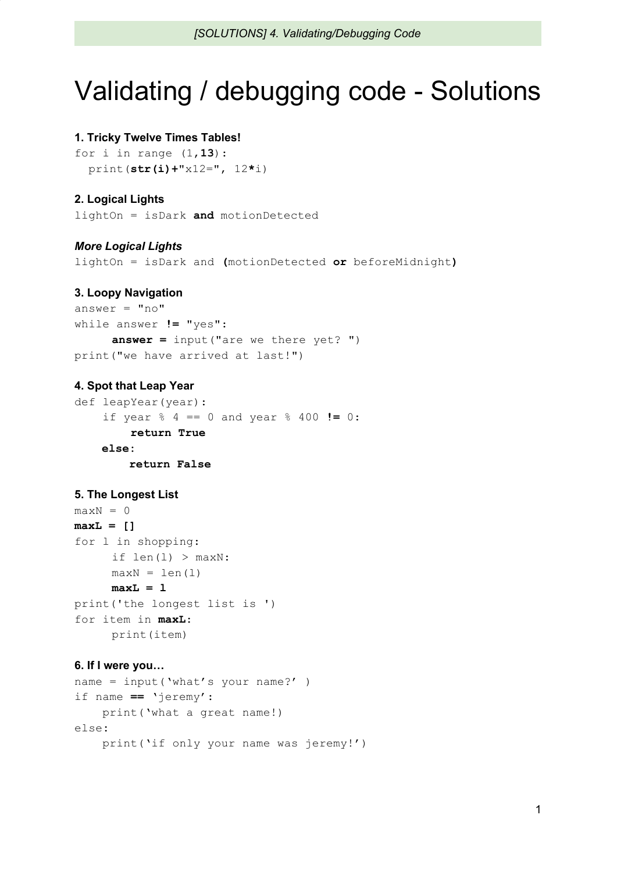# Validating / debugging code - Solutions

## **1. Tricky Twelve Times Tables!**

for i in range (1,**13**): print(**str(i)+**"x12=", 12**\***i)

# **2. Logical Lights**

lightOn = isDark **and** motionDetected

## *More Logical Lights*

lightOn = isDark and **(**motionDetected **or** beforeMidnight**)**

#### **3. Loopy Navigation**

```
answer = "no"while answer != "yes":
     answer = input("are we there yet? ")
print("we have arrived at last!")
```
## **4. Spot that Leap Year**

```
def leapYear(year):
    if year % 4 == 0 and year % 400 != 0:
        return True
    else:
        return False
```
## **5. The Longest List**

```
maxN = 0maxL = []
for l in shopping:
     if len(1) > maxN:
     maxN = len(1)maxL = l
print('the longest list is ')
for item in maxL:
     print(item)
```
#### **6. If I were you…**

```
name = input('what's your name?' )
if name == 'jeremy':
    print('what a great name!)
else:
    print('if only your name was jeremy!')
```